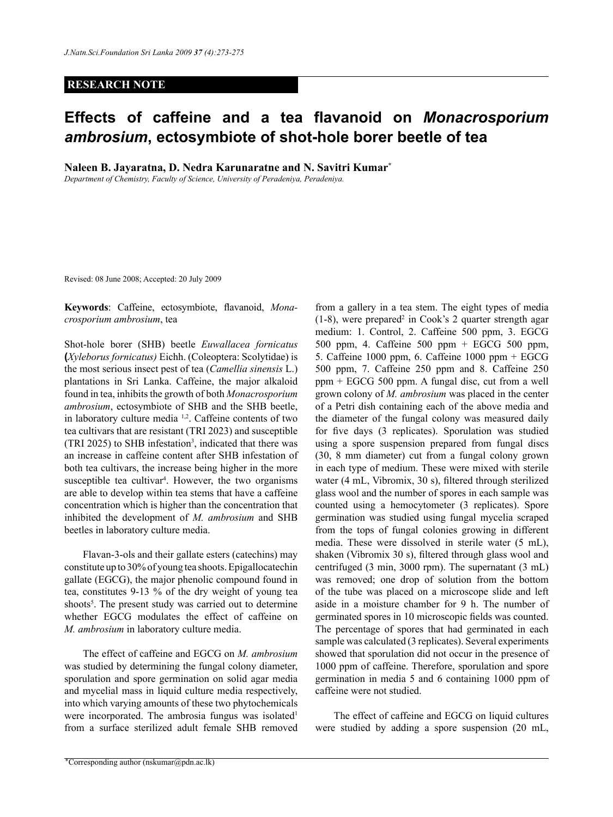## **RESEARCH NOTE**

## **Effects of caffeine and a tea flavanoid on** *Monacrosporium ambrosium***, ectosymbiote of shot-hole borer beetle of tea**

**Naleen B. Jayaratna, D. Nedra Karunaratne and N. Savitri Kumar\***

*Department of Chemistry, Faculty of Science, University of Peradeniya, Peradeniya.*

Revised: 08 June 2008; Accepted: 20 July 2009

**Keywords**: Caffeine, ectosymbiote, flavanoid, *Monacrosporium ambrosium*, tea

Shot-hole borer (SHB) beetle *Euwallacea fornicatus* **(***Xyleborus fornicatus)* Eichh. (Coleoptera: Scolytidae) is the most serious insect pest of tea (*Camellia sinensis* L.) plantations in Sri Lanka. Caffeine, the major alkaloid found in tea, inhibits the growth of both *Monacrosporium ambrosium*, ectosymbiote of SHB and the SHB beetle, in laboratory culture media 1,2. Caffeine contents of two tea cultivars that are resistant (TRI 2023) and susceptible  $(TRI 2025)$  to SHB infestation<sup>3</sup>, indicated that there was an increase in caffeine content after SHB infestation of both tea cultivars, the increase being higher in the more susceptible tea cultivar<sup>4</sup>. However, the two organisms are able to develop within tea stems that have a caffeine concentration which is higher than the concentration that inhibited the development of *M. ambrosium* and SHB beetles in laboratory culture media.

Flavan-3-ols and their gallate esters (catechins) may constitute up to 30% of young tea shoots. Epigallocatechin gallate (EGCG), the major phenolic compound found in tea, constitutes 9-13 % of the dry weight of young tea shoots<sup>5</sup>. The present study was carried out to determine whether EGCG modulates the effect of caffeine on *M. ambrosium* in laboratory culture media.

The effect of caffeine and EGCG on *M. ambrosium* was studied by determining the fungal colony diameter, sporulation and spore germination on solid agar media and mycelial mass in liquid culture media respectively, into which varying amounts of these two phytochemicals were incorporated. The ambrosia fungus was isolated<sup>1</sup> from a surface sterilized adult female SHB removed

from a gallery in a tea stem. The eight types of media  $(1-8)$ , were prepared<sup>2</sup> in Cook's 2 quarter strength agar medium: 1. Control, 2. Caffeine 500 ppm, 3. EGCG 500 ppm, 4. Caffeine 500 ppm + EGCG 500 ppm, 5. Caffeine 1000 ppm, 6. Caffeine 1000 ppm + EGCG 500 ppm, 7. Caffeine 250 ppm and 8. Caffeine 250 ppm + EGCG 500 ppm. A fungal disc, cut from a well grown colony of *M. ambrosium* was placed in the center of a Petri dish containing each of the above media and the diameter of the fungal colony was measured daily for five days (3 replicates). Sporulation was studied using a spore suspension prepared from fungal discs (30, 8 mm diameter) cut from a fungal colony grown in each type of medium. These were mixed with sterile water (4 mL, Vibromix, 30 s), filtered through sterilized glass wool and the number of spores in each sample was counted using a hemocytometer (3 replicates). Spore germination was studied using fungal mycelia scraped from the tops of fungal colonies growing in different media. These were dissolved in sterile water (5 mL), shaken (Vibromix 30 s), filtered through glass wool and centrifuged (3 min, 3000 rpm). The supernatant (3 mL) was removed; one drop of solution from the bottom of the tube was placed on a microscope slide and left aside in a moisture chamber for 9 h. The number of germinated spores in 10 microscopic fields was counted. The percentage of spores that had germinated in each sample was calculated (3 replicates). Several experiments showed that sporulation did not occur in the presence of 1000 ppm of caffeine. Therefore, sporulation and spore germination in media 5 and 6 containing 1000 ppm of caffeine were not studied.

The effect of caffeine and EGCG on liquid cultures were studied by adding a spore suspension (20 mL,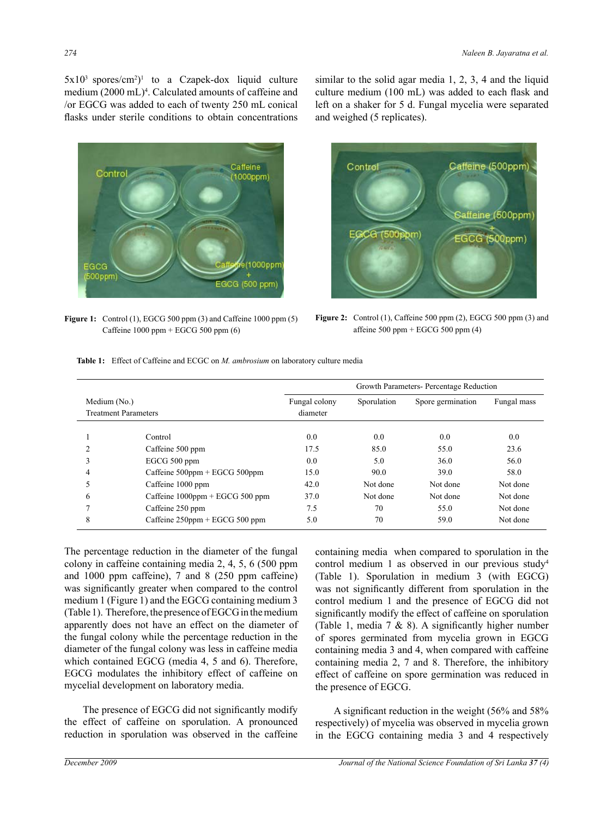$5x10^3$  spores/cm<sup>2</sup>)<sup>1</sup> to a Czapek-dox liquid culture medium (2000 mL)4 . Calculated amounts of caffeine and /or EGCG was added to each of twenty 250 mL conical flasks under sterile conditions to obtain concentrations



Figure 1: Control (1), EGCG 500 ppm (3) and Caffeine 1000 ppm (5) Figure 2: Control (1), Caffeine 500 ppm ( Caffeine 1000 ppm + EGCG 500 ppm (6)





**Figure 2:** Control (1), Caffeine 500 ppm (2), EGCG 500 ppm (3) and affeine  $500$  ppm + EGCG  $500$  ppm  $(4)$ 

| <b>Table 1:</b> Effect of Caffeine and ECGC on <i>M. ambrosium</i> on laboratory culture media |  |  |
|------------------------------------------------------------------------------------------------|--|--|
|                                                                                                |  |  |

|                                             |                                     | Growth Parameters-Percentage Reduction |             |                   |             |  |
|---------------------------------------------|-------------------------------------|----------------------------------------|-------------|-------------------|-------------|--|
| Medium (No.)<br><b>Treatment Parameters</b> |                                     | Fungal colony                          | Sporulation | Spore germination | Fungal mass |  |
|                                             |                                     | diameter                               |             |                   |             |  |
|                                             | Control                             | 0.0                                    | 0.0         | 0.0               | 0.0         |  |
| $\overline{c}$                              | Caffeine 500 ppm                    | 17.5                                   | 85.0        | 55.0              | 23.6        |  |
| 3                                           | EGCG 500 ppm                        | 0.0                                    | 5.0         | 36.0              | 56.0        |  |
| 4                                           | Caffeine $500$ ppm + EGCG $500$ ppm | 15.0                                   | 90.0        | 39.0              | 58.0        |  |
| 5                                           | Caffeine 1000 ppm                   | 42.0                                   | Not done    | Not done          | Not done    |  |
| 6                                           | Caffeine $1000$ ppm + EGCG 500 ppm  | 37.0                                   | Not done    | Not done          | Not done    |  |
|                                             | Caffeine 250 ppm                    | 7.5                                    | 70          | 55.0              | Not done    |  |
| 8                                           | Caffeine $250$ ppm + EGCG 500 ppm   | 5.0                                    | 70          | 59.0              | Not done    |  |

The percentage reduction in the diameter of the fungal colony in caffeine containing media 2, 4, 5, 6 (500 ppm and 1000 ppm caffeine), 7 and 8 (250 ppm caffeine) was significantly greater when compared to the control medium 1 (Figure 1) and the EGCG containing medium 3 (Table 1). Therefore, the presence of EGCG in the medium apparently does not have an effect on the diameter of the fungal colony while the percentage reduction in the diameter of the fungal colony was less in caffeine media which contained EGCG (media 4, 5 and 6). Therefore, EGCG modulates the inhibitory effect of caffeine on mycelial development on laboratory media.

The presence of EGCG did not significantly modify the effect of caffeine on sporulation. A pronounced reduction in sporulation was observed in the caffeine

8 (Table 1). Sporulation in medium 3 (with EGCG) containing media when compared to sporulation in the control medium 1 as observed in our previous study4 was not significantly different from sporulation in the control medium 1 and the presence of EGCG did not significantly modify the effect of caffeine on sporulation (Table 1, media 7 & 8). A significantly higher number of spores germinated from mycelia grown in EGCG containing media 3 and 4, when compared with caffeine containing media 2, 7 and 8. Therefore, the inhibitory effect of caffeine on spore germination was reduced in the presence of EGCG.

A significant reduction in the weight (56% and 58% respectively) of mycelia was observed in mycelia grown in the EGCG containing media 3 and 4 respectively